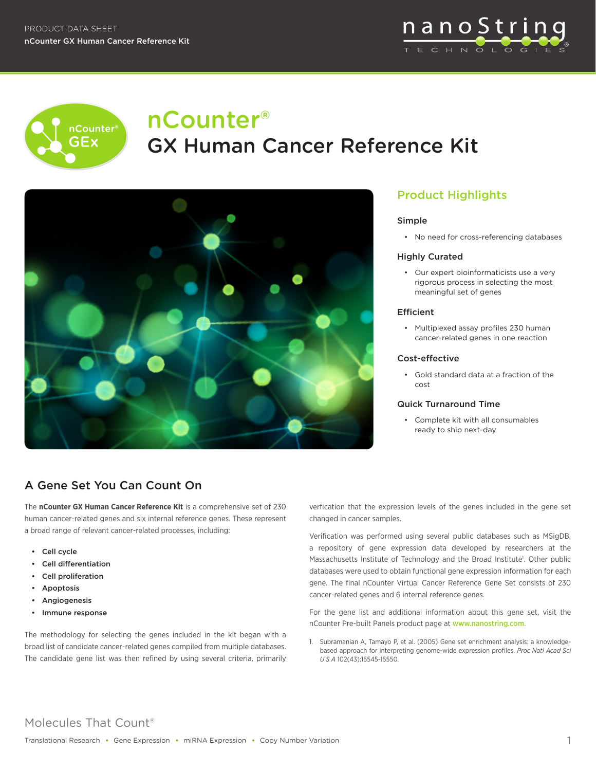



# nCounter® GX Human Cancer Reference Kit



# Product Highlights

#### Simple

• No need for cross-referencing databases

#### Highly Curated

• Our expert bioinformaticists use a very rigorous process in selecting the most meaningful set of genes

#### **Efficient**

• Multiplexed assay profiles 230 human cancer-related genes in one reaction

### Cost-effective

• Gold standard data at a fraction of the cost

#### Quick Turnaround Time

• Complete kit with all consumables ready to ship next-day

# A Gene Set You Can Count On

The **nCounter GX Human Cancer Reference Kit** is a comprehensive set of 230 human cancer-related genes and six internal reference genes. These represent a broad range of relevant cancer-related processes, including:

- Cell cycle
- Cell differentiation
- Cell proliferation
- **Apoptosis**
- **Angiogenesis**
- Immune response

The methodology for selecting the genes included in the kit began with a broad list of candidate cancer-related genes compiled from multiple databases. The candidate gene list was then refined by using several criteria, primarily

verfication that the expression levels of the genes included in the gene set changed in cancer samples.

Verification was performed using several public databases such as MSigDB, a repository of gene expression data developed by researchers at the Massachusetts Institute of Technology and the Broad Institute<sup>1</sup>. Other public databases were used to obtain functional gene expression information for each gene. The final nCounter Virtual Cancer Reference Gene Set consists of 230 cancer-related genes and 6 internal reference genes.

For the gene list and additional information about this gene set, visit the nCounter Pre-built Panels product page at www.nanostring.com.

1. Subramanian A, Tamayo P, et al. (2005) Gene set enrichment analysis: a knowledgebased approach for interpreting genome-wide expression profiles. *Proc Natl Acad Sci U S A* 102(43):15545-15550.

# Molecules That Count®